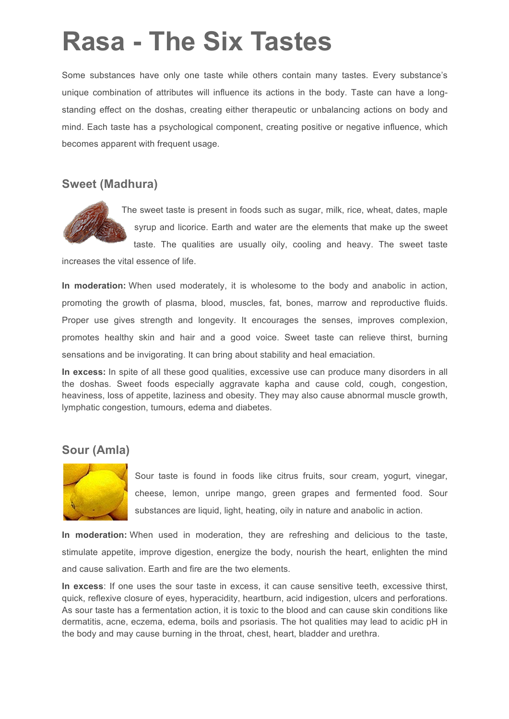# **Rasa - The Six Tastes**

Some substances have only one taste while others contain many tastes. Every substance's unique combination of attributes will influence its actions in the body. Taste can have a longstanding effect on the doshas, creating either therapeutic or unbalancing actions on body and mind. Each taste has a psychological component, creating positive or negative influence, which becomes apparent with frequent usage.

#### **Sweet (Madhura)**



The sweet taste is present in foods such as sugar, milk, rice, wheat, dates, maple syrup and licorice. Earth and water are the elements that make up the sweet

taste. The qualities are usually oily, cooling and heavy. The sweet taste

increases the vital essence of life.

**In moderation:** When used moderately, it is wholesome to the body and anabolic in action, promoting the growth of plasma, blood, muscles, fat, bones, marrow and reproductive fluids. Proper use gives strength and longevity. It encourages the senses, improves complexion, promotes healthy skin and hair and a good voice. Sweet taste can relieve thirst, burning sensations and be invigorating. It can bring about stability and heal emaciation.

**In excess:** In spite of all these good qualities, excessive use can produce many disorders in all the doshas. Sweet foods especially aggravate kapha and cause cold, cough, congestion, heaviness, loss of appetite, laziness and obesity. They may also cause abnormal muscle growth, lymphatic congestion, tumours, edema and diabetes.

## **Sour (Amla)**



Sour taste is found in foods like citrus fruits, sour cream, yogurt, vinegar, cheese, lemon, unripe mango, green grapes and fermented food. Sour substances are liquid, light, heating, oily in nature and anabolic in action.

**In moderation:** When used in moderation, they are refreshing and delicious to the taste, stimulate appetite, improve digestion, energize the body, nourish the heart, enlighten the mind and cause salivation. Earth and fire are the two elements.

**In excess**: If one uses the sour taste in excess, it can cause sensitive teeth, excessive thirst, quick, reflexive closure of eyes, hyperacidity, heartburn, acid indigestion, ulcers and perforations. As sour taste has a fermentation action, it is toxic to the blood and can cause skin conditions like dermatitis, acne, eczema, edema, boils and psoriasis. The hot qualities may lead to acidic pH in the body and may cause burning in the throat, chest, heart, bladder and urethra.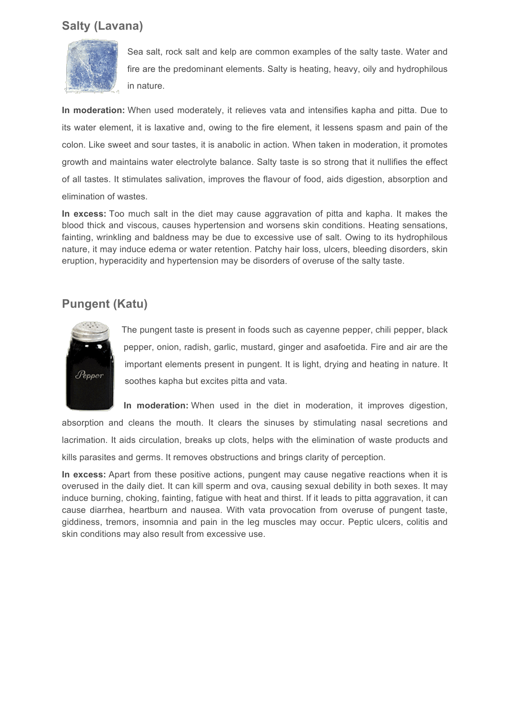## **Salty (Lavana)**



Sea salt, rock salt and kelp are common examples of the salty taste. Water and fire are the predominant elements. Salty is heating, heavy, oily and hydrophilous in nature.

**In moderation:** When used moderately, it relieves vata and intensifies kapha and pitta. Due to its water element, it is laxative and, owing to the fire element, it lessens spasm and pain of the colon. Like sweet and sour tastes, it is anabolic in action. When taken in moderation, it promotes growth and maintains water electrolyte balance. Salty taste is so strong that it nullifies the effect of all tastes. It stimulates salivation, improves the flavour of food, aids digestion, absorption and elimination of wastes.

**In excess:** Too much salt in the diet may cause aggravation of pitta and kapha. It makes the blood thick and viscous, causes hypertension and worsens skin conditions. Heating sensations, fainting, wrinkling and baldness may be due to excessive use of salt. Owing to its hydrophilous nature, it may induce edema or water retention. Patchy hair loss, ulcers, bleeding disorders, skin eruption, hyperacidity and hypertension may be disorders of overuse of the salty taste.

## **Pungent (Katu)**



The pungent taste is present in foods such as cayenne pepper, chili pepper, black pepper, onion, radish, garlic, mustard, ginger and asafoetida. Fire and air are the important elements present in pungent. It is light, drying and heating in nature. It soothes kapha but excites pitta and vata.

**In moderation:** When used in the diet in moderation, it improves digestion, absorption and cleans the mouth. It clears the sinuses by stimulating nasal secretions and lacrimation. It aids circulation, breaks up clots, helps with the elimination of waste products and kills parasites and germs. It removes obstructions and brings clarity of perception.

**In excess:** Apart from these positive actions, pungent may cause negative reactions when it is overused in the daily diet. It can kill sperm and ova, causing sexual debility in both sexes. It may induce burning, choking, fainting, fatigue with heat and thirst. If it leads to pitta aggravation, it can cause diarrhea, heartburn and nausea. With vata provocation from overuse of pungent taste, giddiness, tremors, insomnia and pain in the leg muscles may occur. Peptic ulcers, colitis and skin conditions may also result from excessive use.